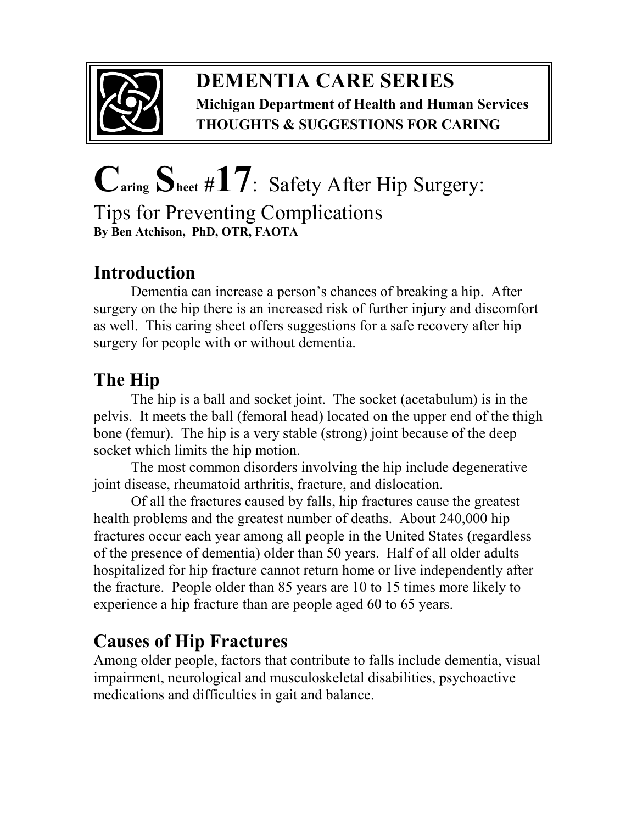

## **DEMENTIA CARE SERIES Michigan Department of Health and Human Services THOUGHTS & SUGGESTIONS FOR CARING**

# **Caring Sheet #17**:Safety After Hip Surgery:

Tips for Preventing Complications **By Ben Atchison, PhD, OTR, FAOTA** 

# **Introduction**

Dementia can increase a person's chances of breaking a hip. After surgery on the hip there is an increased risk of further injury and discomfort as well. This caring sheet offers suggestions for a safe recovery after hip surgery for people with or without dementia.

# **The Hip**

The hip is a ball and socket joint. The socket (acetabulum) is in the pelvis. It meets the ball (femoral head) located on the upper end of the thigh bone (femur). The hip is a very stable (strong) joint because of the deep socket which limits the hip motion.

The most common disorders involving the hip include degenerative joint disease, rheumatoid arthritis, fracture, and dislocation.

 Of all the fractures caused by falls, hip fractures cause the greatest health problems and the greatest number of deaths. About 240,000 hip fractures occur each year among all people in the United States (regardless of the presence of dementia) older than 50 years. Half of all older adults hospitalized for hip fracture cannot return home or live independently after the fracture. People older than 85 years are 10 to 15 times more likely to experience a hip fracture than are people aged 60 to 65 years.

# **Causes of Hip Fractures**

Among older people, factors that contribute to falls include dementia, visual impairment, neurological and musculoskeletal disabilities, psychoactive medications and difficulties in gait and balance.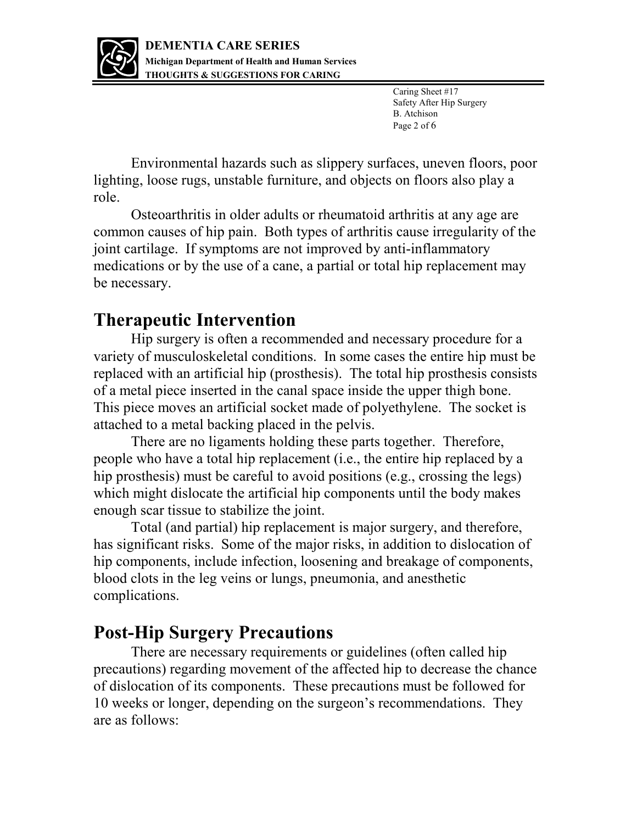

Caring Sheet #17 Safety After Hip Surgery B. Atchison Page 2 of 6

Environmental hazards such as slippery surfaces, uneven floors, poor lighting, loose rugs, unstable furniture, and objects on floors also play a role.

Osteoarthritis in older adults or rheumatoid arthritis at any age are common causes of hip pain. Both types of arthritis cause irregularity of the joint cartilage. If symptoms are not improved by anti-inflammatory medications or by the use of a cane, a partial or total hip replacement may be necessary.

## **Therapeutic Intervention**

 Hip surgery is often a recommended and necessary procedure for a variety of musculoskeletal conditions. In some cases the entire hip must be replaced with an artificial hip (prosthesis). The total hip prosthesis consists of a metal piece inserted in the canal space inside the upper thigh bone. This piece moves an artificial socket made of polyethylene. The socket is attached to a metal backing placed in the pelvis.

 There are no ligaments holding these parts together. Therefore, people who have a total hip replacement (i.e., the entire hip replaced by a hip prosthesis) must be careful to avoid positions (e.g., crossing the legs) which might dislocate the artificial hip components until the body makes enough scar tissue to stabilize the joint.

 Total (and partial) hip replacement is major surgery, and therefore, has significant risks. Some of the major risks, in addition to dislocation of hip components, include infection, loosening and breakage of components, blood clots in the leg veins or lungs, pneumonia, and anesthetic complications.

## **Post-Hip Surgery Precautions**

 There are necessary requirements or guidelines (often called hip precautions) regarding movement of the affected hip to decrease the chance of dislocation of its components. These precautions must be followed for 10 weeks or longer, depending on the surgeon's recommendations. They are as follows: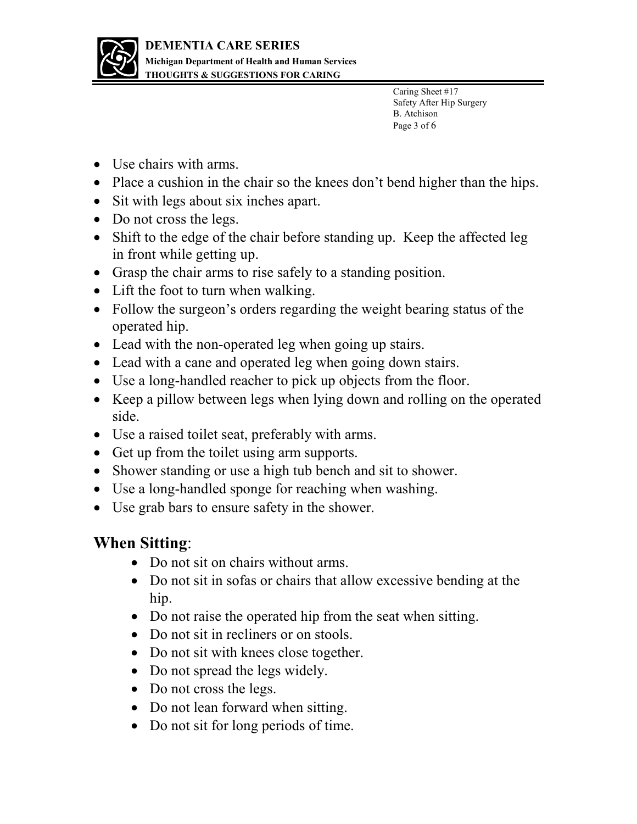

Caring Sheet #17 Safety After Hip Surgery B. Atchison Page 3 of 6

- Use chairs with arms.
- Place a cushion in the chair so the knees don't bend higher than the hips.
- Sit with legs about six inches apart.
- Do not cross the legs.
- Shift to the edge of the chair before standing up. Keep the affected leg in front while getting up.
- Grasp the chair arms to rise safely to a standing position.
- Lift the foot to turn when walking.
- Follow the surgeon's orders regarding the weight bearing status of the operated hip.
- Lead with the non-operated leg when going up stairs.
- Lead with a cane and operated leg when going down stairs.
- Use a long-handled reacher to pick up objects from the floor.
- Keep a pillow between legs when lying down and rolling on the operated side.
- Use a raised toilet seat, preferably with arms.
- Get up from the toilet using arm supports.
- Shower standing or use a high tub bench and sit to shower.
- Use a long-handled sponge for reaching when washing.
- Use grab bars to ensure safety in the shower.

#### **When Sitting**:

- Do not sit on chairs without arms.
- Do not sit in sofas or chairs that allow excessive bending at the hip.
- Do not raise the operated hip from the seat when sitting.
- Do not sit in recliners or on stools.
- Do not sit with knees close together.
- Do not spread the legs widely.
- Do not cross the legs.
- Do not lean forward when sitting.
- Do not sit for long periods of time.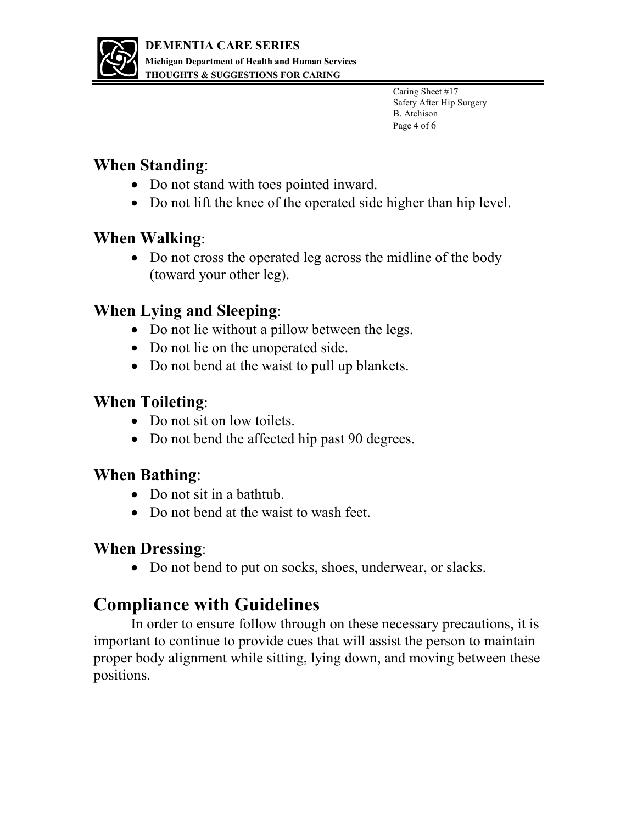

Caring Sheet #17 Safety After Hip Surgery B. Atchison Page 4 of 6

#### **When Standing**:

- Do not stand with toes pointed inward.
- Do not lift the knee of the operated side higher than hip level.

#### **When Walking**:

• Do not cross the operated leg across the midline of the body (toward your other leg).

#### **When Lying and Sleeping**:

- Do not lie without a pillow between the legs.
- Do not lie on the unoperated side.
- Do not bend at the waist to pull up blankets.

#### **When Toileting**:

- Do not sit on low toilets.
- Do not bend the affected hip past 90 degrees.

#### **When Bathing**:

- Do not sit in a bathtub.
- Do not bend at the waist to wash feet.

### **When Dressing**:

• Do not bend to put on socks, shoes, underwear, or slacks.

# **Compliance with Guidelines**

 In order to ensure follow through on these necessary precautions, it is important to continue to provide cues that will assist the person to maintain proper body alignment while sitting, lying down, and moving between these positions.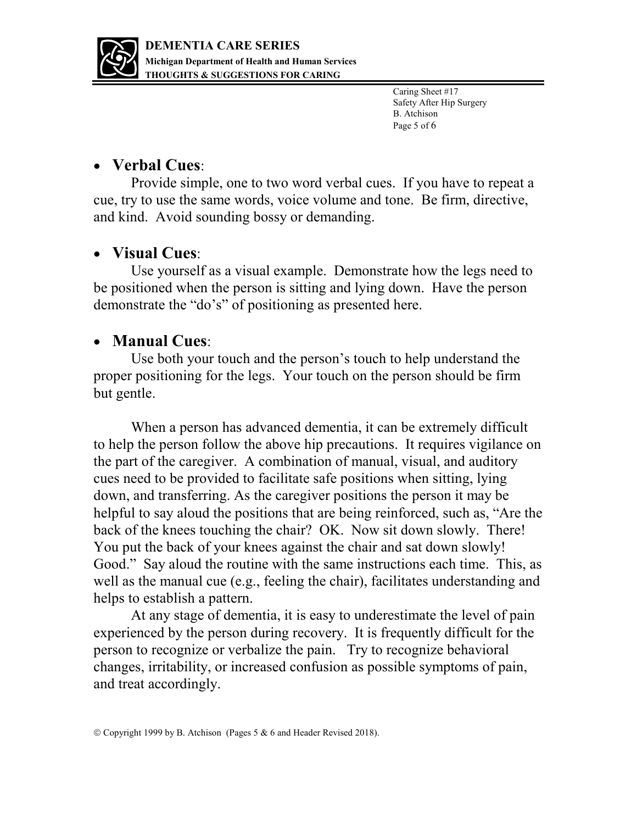

Caring Sheet #17 Safety After Hip Surgery B. Atchison Page 5 of 6

#### **Verbal Cues**:

 Provide simple, one to two word verbal cues. If you have to repeat a cue, try to use the same words, voice volume and tone. Be firm, directive, and kind. Avoid sounding bossy or demanding.

#### **Visual Cues**:

 Use yourself as a visual example. Demonstrate how the legs need to be positioned when the person is sitting and lying down. Have the person demonstrate the "do's" of positioning as presented here.

#### **Manual Cues**:

 Use both your touch and the person's touch to help understand the proper positioning for the legs. Your touch on the person should be firm but gentle.

 When a person has advanced dementia, it can be extremely difficult to help the person follow the above hip precautions. It requires vigilance on the part of the caregiver. A combination of manual, visual, and auditory cues need to be provided to facilitate safe positions when sitting, lying down, and transferring. As the caregiver positions the person it may be helpful to say aloud the positions that are being reinforced, such as, "Are the back of the knees touching the chair? OK. Now sit down slowly. There! You put the back of your knees against the chair and sat down slowly! Good." Say aloud the routine with the same instructions each time. This, as well as the manual cue (e.g., feeling the chair), facilitates understanding and helps to establish a pattern.

 At any stage of dementia, it is easy to underestimate the level of pain experienced by the person during recovery. It is frequently difficult for the person to recognize or verbalize the pain. Try to recognize behavioral changes, irritability, or increased confusion as possible symptoms of pain, and treat accordingly.

Copyright 1999 by B. Atchison (Pages 5 & 6 and Header Revised 2018).